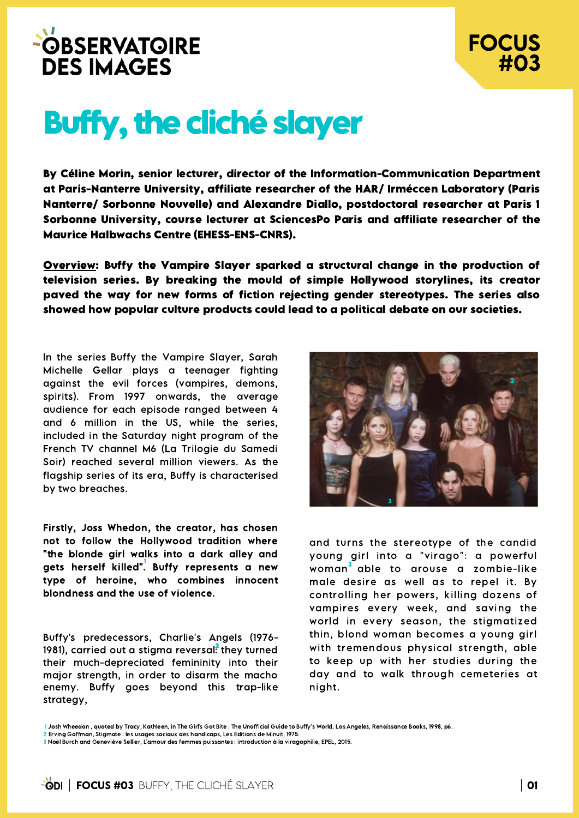



## **Buffy, the cliché slayer**

By Céline Morin, senior lecturer, director of the Information-Communication Department at Paris-Nanterre University, affiliate researcher of the HAR/ Irméccen Laboratory (Paris Nanterre/ Sorbonne Nouvelle) and Alexandre Diallo, postdoctoral researcher at Paris 1 Sorbonne University, course lecturer at SciencesPo Paris and affiliate researcher of the Maurice Halbwachs Centre (EHESS-ENS-CNRS).

Overview: Buffy the Vampire Slayer sparked a structural change in the production of television series. By breaking the mould of simple Hollywood storylines, its creator paved the way for new forms of fiction rejecting gender stereotypes. The series also showed how popular culture products could lead to a political debate on our societies.

In the series Buffy the Vampire Slayer, Sarah Michelle Gellar plays a teenager fighting against the evil forces (vampires, demons, spirits). From 1997 onwards, the average audience for each episode ranged between 4 and 6 million in the US, while the series, included in the Saturday night program of the French TV channel M6 (La Trilogie du Samedi Soir) reached several million viewers. As the flagship series of its era, Buffy is characterised by two breaches.

Firstly, Joss Whedon, the creator, has chosen not to follow the Hollywood tradition where "the blonde girl walks into a dark alley and  $\overline{\mathsf{qets}}$  herself killed". Buffy represents a new type of heroine, who combines innocent blondness and the use of violence.

Buffy's predecessors, Charlie's Angels (1976- 1981), carried out a stigma reversal $\hat{\mathbf{f}}$  they turned their much-depreciated femininity into their major strength, in order to disarm the macho enemy. Buffy goes beyond this trap-like strategy,



and turns the stereotype of the candid young girl into a "virago": a powerful woman $^3$  able to arouse a zombie-like male desire as well as to repel it. By controlling her powers, killing dozens of vampires every week, and saving the world in every season, the stigmatized thin, blond woman becomes a young girl with tremendous physical strength, able to keep up with her studies during the day and to walk through cemeteries at night.

1 Josh Wheedon , quoted by Tracy, Kathleen, in The Girl's Got Bite : The Unofficial Guide to Buffy's World, Los Angeles, Renaissance Books, 1998, p6.

<sup>2</sup> Erving Goffman, Stigmate : les usages sociaux des handicaps, Les Editions de Minuit, 1975.

<sup>3</sup> Noël Burch and Geneviève Sellier, L'amour des femmes puissantes : introduction à la viragophilie, EPEL, 2015.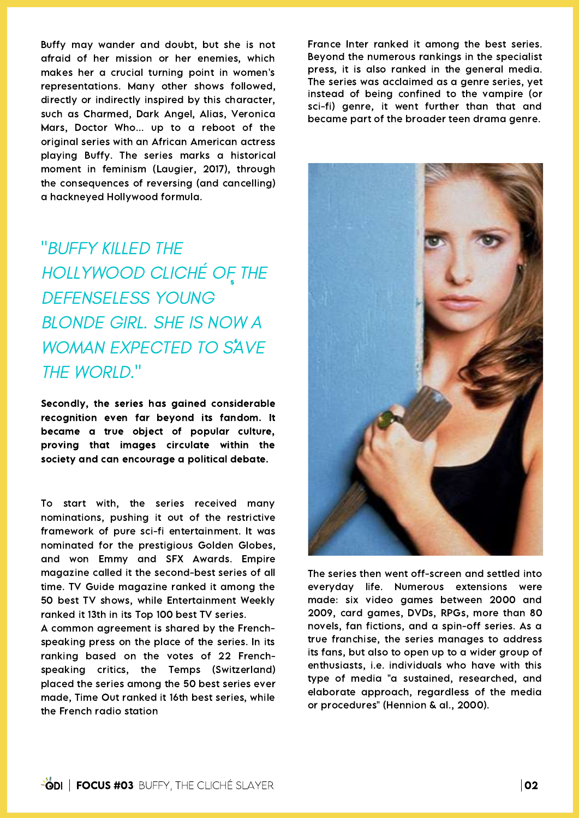Buffy may wander and doubt, but she is not afraid of her mission or her enemies, which makes her a crucial turning point in women's representations. Many other shows followed, directly or indirectly inspired by this character, such as Charmed, Dark Angel, Alias, Veronica Mars, Doctor Who... up to a reboot of the original series with an African American actress playing Buffy. The series marks a historical moment in feminism (Laugier, 2017), through the consequences of reversing (and cancelling) a hackneyed Hollywood formula.

WOMAN EXPECTED TO SAVE HOLLYWOOD CLICHÉ OF THE "BUFFY KILLED THE DEFENSELESS YOUNG BLONDE GIRL. SHE IS NOW A THE WORLD."

Secondly, the series has gained considerable recognition even far beyond its fandom. It became a true object of popular culture, proving that images circulate within the society and can encourage a political debate.

To start with, the series received many nominations, pushing it out of the restrictive framework of pure sci-fi entertainment. It was nominated for the prestigious Golden Globes, and won Emmy and SFX Awards. Empire magazine called it the second-best series of all time. TV Guide magazine ranked it among the 50 best TV shows, while Entertainment Weekly ranked it 13th in its Top 100 best TV series.

A common agreement is shared by the Frenchspeaking press on the place of the series. In its ranking based on the votes of 22 Frenchspeaking critics, the Temps (Switzerland) placed the series among the 50 best series ever made, Time Out ranked it 16th best series, while the French radio station

France Inter ranked it among the best series. Beyond the numerous rankings in the specialist press, it is also ranked in the general media. The series was acclaimed as a genre series, yet instead of being confined to the vampire (or sci-fi) genre, it went further than that and became part of the broader teen drama genre.



The series then went off-screen and settled into everyday life. Numerous extensions were made: six video games between 2000 and 2009, card games, DVDs, RPGs, more than 80 novels, fan fictions, and a spin-off series. As a true franchise, the series manages to address its fans, but also to open up to a wider group of enthusiasts, i.e. individuals who have with this type of media "a sustained, researched, and elaborate approach, regardless of the media or procedures" (Hennion & al., 2000).